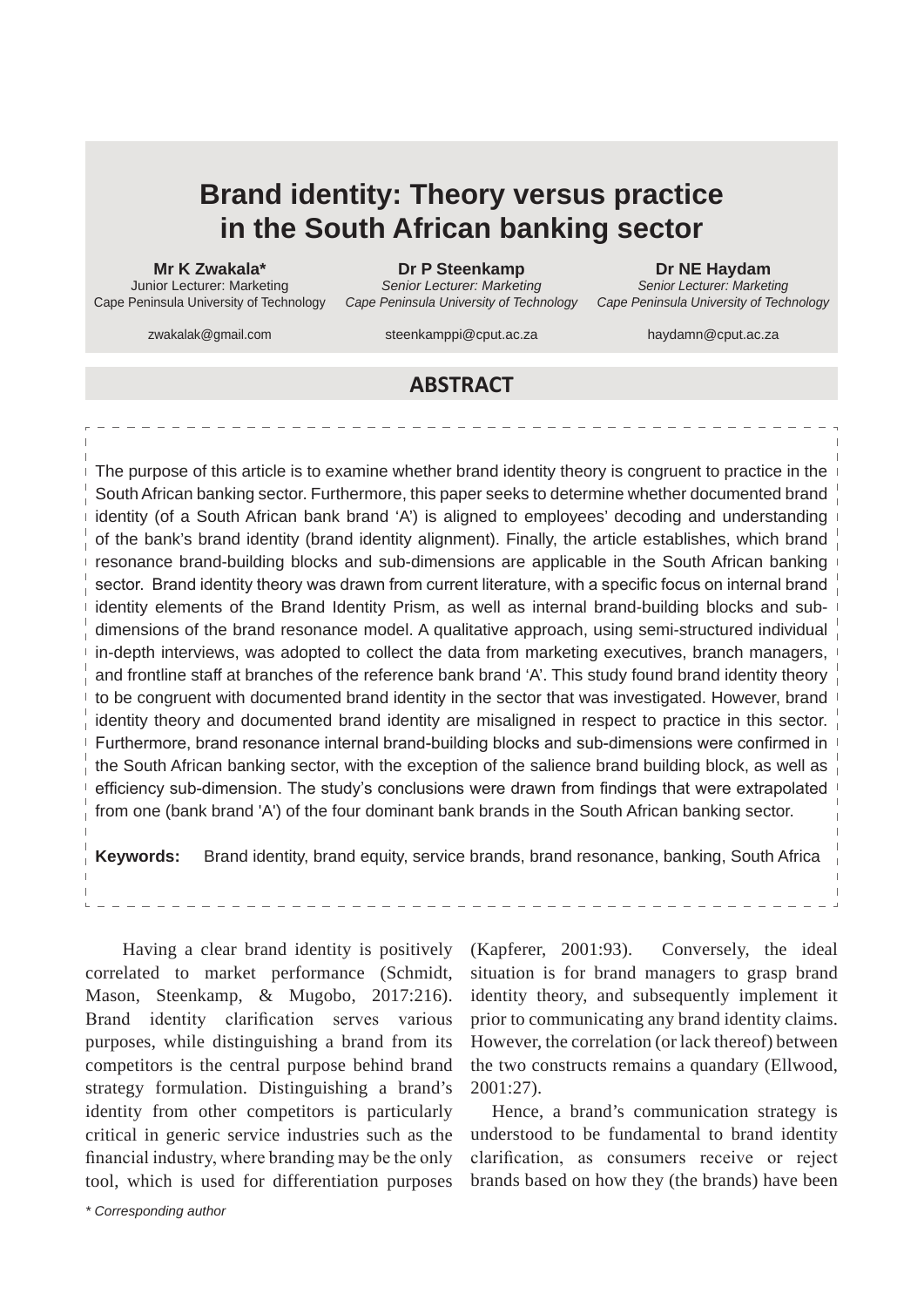# **Brand identity: Theory versus practice in the South African banking sector**

**Mr K Zwakala\***

Junior Lecturer: Marketing Cape Peninsula University of Technology

**Dr P Steenkamp**  *Senior Lecturer: Marketing Cape Peninsula University of Technology*

zwakalak@gmail.com

steenkamppi@cput.ac.za

**Dr NE Haydam**

*Senior Lecturer: Marketing Cape Peninsula University of Technology*

haydamn@cput.ac.za

# **ABSTRACT**

The purpose of this article is to examine whether brand identity theory is congruent to practice in the South African banking sector. Furthermore, this paper seeks to determine whether documented brand identity (of a South African bank brand 'A') is aligned to employees' decoding and understanding of the bank's brand identity (brand identity alignment). Finally, the article establishes, which brand resonance brand-building blocks and sub-dimensions are applicable in the South African banking sector. Brand identity theory was drawn from current literature, with a specific focus on internal brand identity elements of the Brand Identity Prism, as well as internal brand-building blocks and subdimensions of the brand resonance model. A qualitative approach, using semi-structured individual in-depth interviews, was adopted to collect the data from marketing executives, branch managers, and frontline staff at branches of the reference bank brand 'A'. This study found brand identity theory to be congruent with documented brand identity in the sector that was investigated. However, brand identity theory and documented brand identity are misaligned in respect to practice in this sector. Furthermore, brand resonance internal brand-building blocks and sub-dimensions were confirmed in the South African banking sector, with the exception of the salience brand building block, as well as efficiency sub-dimension. The study's conclusions were drawn from findings that were extrapolated from one (bank brand 'A') of the four dominant bank brands in the South African banking sector.

**Keywords:** Brand identity, brand equity, service brands, brand resonance, banking, South Africa

 Having a clear brand identity is positively correlated to market performance (Schmidt, Mason, Steenkamp, & Mugobo, 2017:216). Brand identity clarification serves various purposes, while distinguishing a brand from its competitors is the central purpose behind brand strategy formulation. Distinguishing a brand's identity from other competitors is particularly critical in generic service industries such as the financial industry, where branding may be the only tool, which is used for differentiation purposes

*\* Corresponding author*

(Kapferer, 2001:93). Conversely, the ideal situation is for brand managers to grasp brand identity theory, and subsequently implement it prior to communicating any brand identity claims. However, the correlation (or lack thereof) between the two constructs remains a quandary (Ellwood, 2001:27).

Hence, a brand's communication strategy is understood to be fundamental to brand identity clarification, as consumers receive or reject brands based on how they (the brands) have been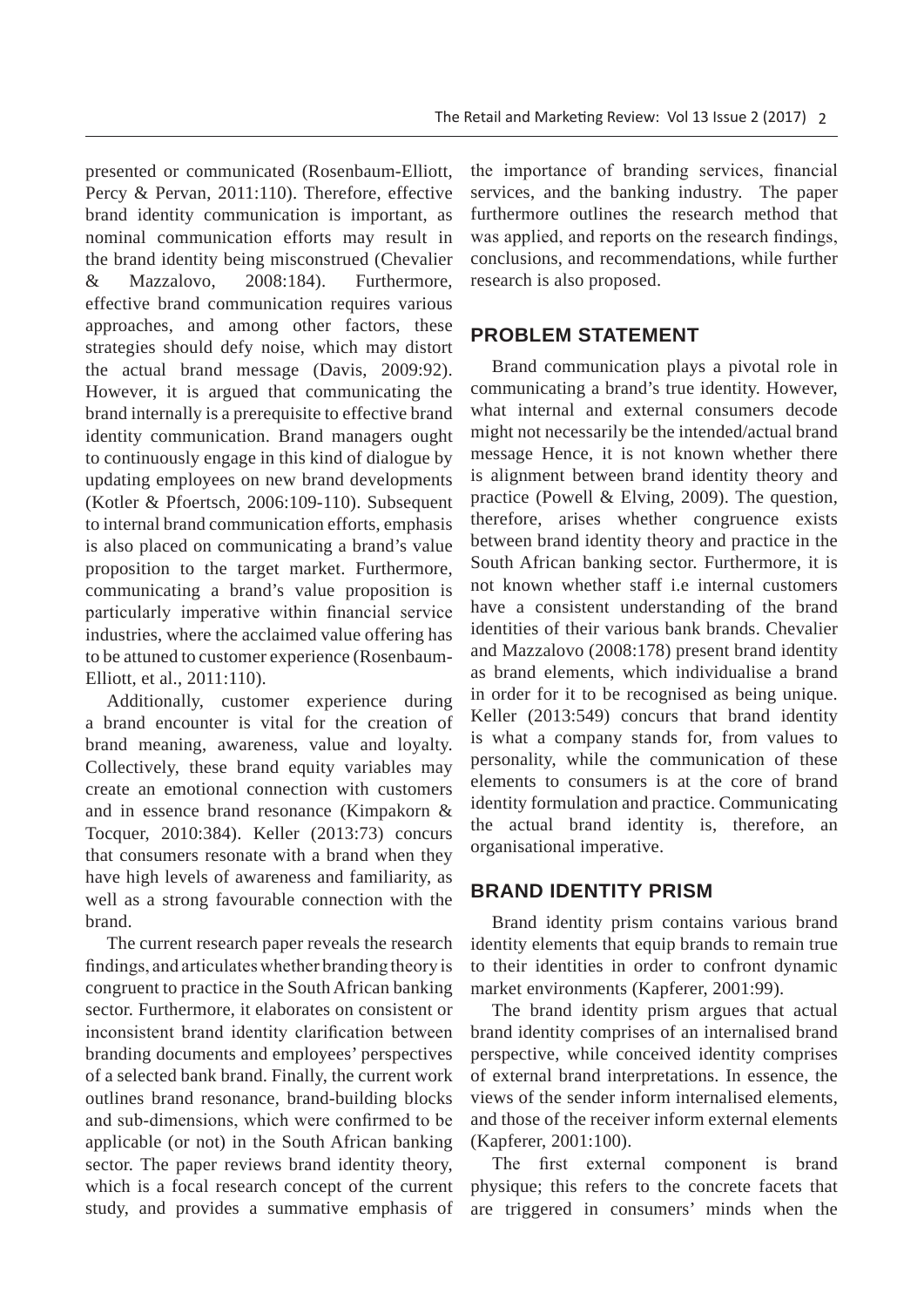presented or communicated (Rosenbaum-Elliott, Percy & Pervan, 2011:110). Therefore, effective brand identity communication is important, as nominal communication efforts may result in the brand identity being misconstrued (Chevalier & Mazzalovo, 2008:184). Furthermore, effective brand communication requires various approaches, and among other factors, these strategies should defy noise, which may distort the actual brand message (Davis, 2009:92). However, it is argued that communicating the brand internally is a prerequisite to effective brand identity communication. Brand managers ought to continuously engage in this kind of dialogue by updating employees on new brand developments (Kotler & Pfoertsch, 2006:109-110). Subsequent to internal brand communication efforts, emphasis is also placed on communicating a brand's value proposition to the target market. Furthermore, communicating a brand's value proposition is particularly imperative within financial service industries, where the acclaimed value offering has to be attuned to customer experience (Rosenbaum-Elliott, et al., 2011:110).

Additionally, customer experience during a brand encounter is vital for the creation of brand meaning, awareness, value and loyalty. Collectively, these brand equity variables may create an emotional connection with customers and in essence brand resonance (Kimpakorn & Tocquer, 2010:384). Keller (2013:73) concurs that consumers resonate with a brand when they have high levels of awareness and familiarity, as well as a strong favourable connection with the brand.

The current research paper reveals the research findings, and articulates whether branding theory is congruent to practice in the South African banking sector. Furthermore, it elaborates on consistent or inconsistent brand identity clarification between branding documents and employees' perspectives of a selected bank brand. Finally, the current work outlines brand resonance, brand-building blocks and sub-dimensions, which were confirmed to be applicable (or not) in the South African banking sector. The paper reviews brand identity theory, which is a focal research concept of the current study, and provides a summative emphasis of the importance of branding services, financial services, and the banking industry. The paper furthermore outlines the research method that was applied, and reports on the research findings, conclusions, and recommendations, while further research is also proposed.

## **PROBLEM STATEMENT**

Brand communication plays a pivotal role in communicating a brand's true identity. However, what internal and external consumers decode might not necessarily be the intended/actual brand message Hence, it is not known whether there is alignment between brand identity theory and practice (Powell & Elving, 2009). The question, therefore, arises whether congruence exists between brand identity theory and practice in the South African banking sector. Furthermore, it is not known whether staff i.e internal customers have a consistent understanding of the brand identities of their various bank brands. Chevalier and Mazzalovo (2008:178) present brand identity as brand elements, which individualise a brand in order for it to be recognised as being unique. Keller (2013:549) concurs that brand identity is what a company stands for, from values to personality, while the communication of these elements to consumers is at the core of brand identity formulation and practice. Communicating the actual brand identity is, therefore, an organisational imperative.

## **BRAND IDENTITY PRISM**

Brand identity prism contains various brand identity elements that equip brands to remain true to their identities in order to confront dynamic market environments (Kapferer, 2001:99).

The brand identity prism argues that actual brand identity comprises of an internalised brand perspective, while conceived identity comprises of external brand interpretations. In essence, the views of the sender inform internalised elements, and those of the receiver inform external elements (Kapferer, 2001:100).

The first external component is brand physique; this refers to the concrete facets that are triggered in consumers' minds when the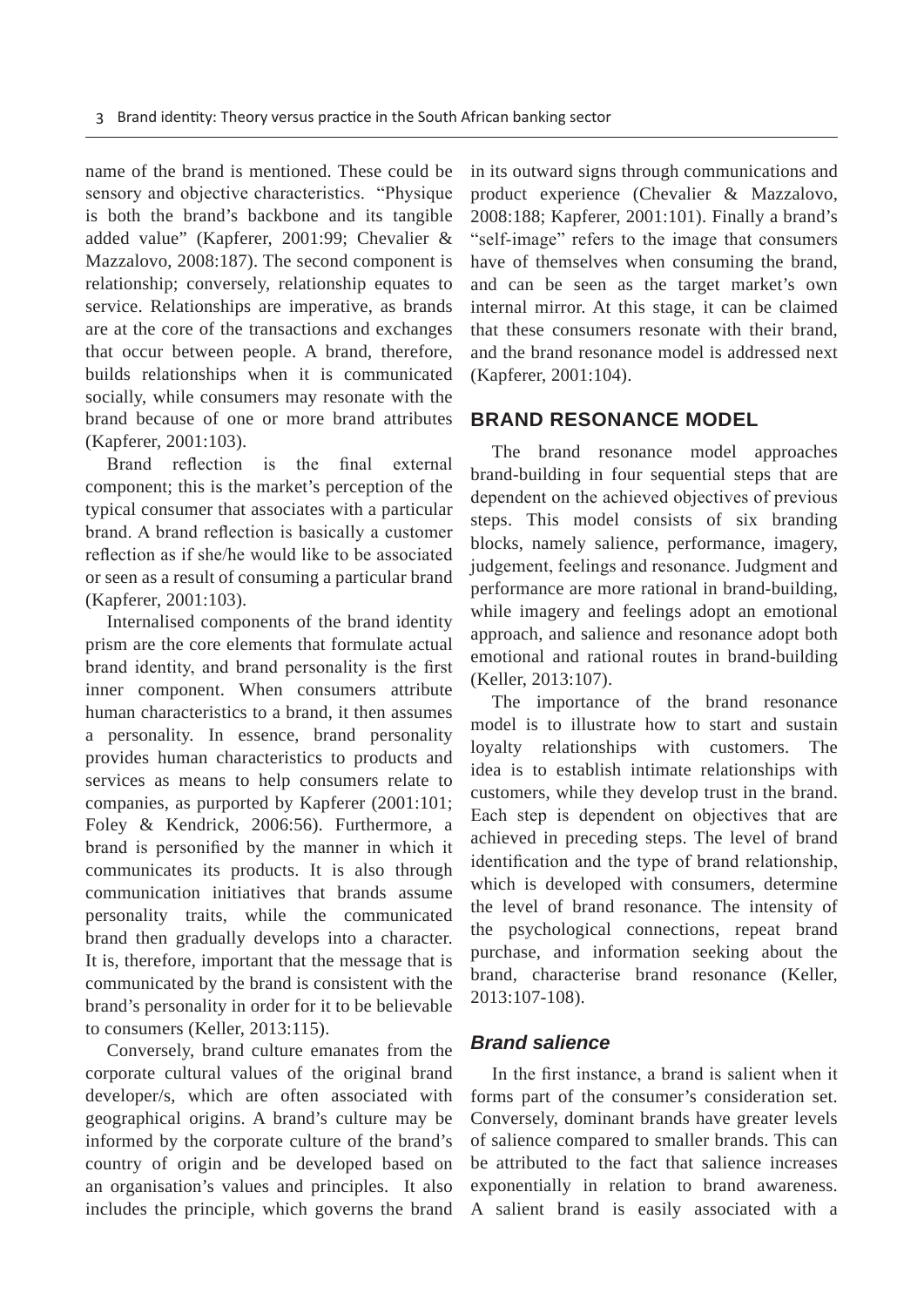name of the brand is mentioned. These could be sensory and objective characteristics. "Physique is both the brand's backbone and its tangible added value" (Kapferer, 2001:99; Chevalier & Mazzalovo, 2008:187). The second component is relationship; conversely, relationship equates to service. Relationships are imperative, as brands are at the core of the transactions and exchanges that occur between people. A brand, therefore, builds relationships when it is communicated socially, while consumers may resonate with the brand because of one or more brand attributes (Kapferer, 2001:103).

Brand reflection is the final external component; this is the market's perception of the typical consumer that associates with a particular brand. A brand reflection is basically a customer reflection as if she/he would like to be associated or seen as a result of consuming a particular brand (Kapferer, 2001:103).

Internalised components of the brand identity prism are the core elements that formulate actual brand identity, and brand personality is the first inner component. When consumers attribute human characteristics to a brand, it then assumes a personality. In essence, brand personality provides human characteristics to products and services as means to help consumers relate to companies, as purported by Kapferer (2001:101; Foley & Kendrick, 2006:56). Furthermore, a brand is personified by the manner in which it communicates its products. It is also through communication initiatives that brands assume personality traits, while the communicated brand then gradually develops into a character. It is, therefore, important that the message that is communicated by the brand is consistent with the brand's personality in order for it to be believable to consumers (Keller, 2013:115).

Conversely, brand culture emanates from the corporate cultural values of the original brand developer/s, which are often associated with geographical origins. A brand's culture may be informed by the corporate culture of the brand's country of origin and be developed based on an organisation's values and principles. It also includes the principle, which governs the brand in its outward signs through communications and product experience (Chevalier & Mazzalovo, 2008:188; Kapferer, 2001:101). Finally a brand's "self-image" refers to the image that consumers have of themselves when consuming the brand, and can be seen as the target market's own internal mirror. At this stage, it can be claimed that these consumers resonate with their brand, and the brand resonance model is addressed next (Kapferer, 2001:104).

## **BRAND RESONANCE MODEL**

The brand resonance model approaches brand-building in four sequential steps that are dependent on the achieved objectives of previous steps. This model consists of six branding blocks, namely salience, performance, imagery, judgement, feelings and resonance. Judgment and performance are more rational in brand-building, while imagery and feelings adopt an emotional approach, and salience and resonance adopt both emotional and rational routes in brand-building (Keller, 2013:107).

The importance of the brand resonance model is to illustrate how to start and sustain loyalty relationships with customers. The idea is to establish intimate relationships with customers, while they develop trust in the brand. Each step is dependent on objectives that are achieved in preceding steps. The level of brand identification and the type of brand relationship. which is developed with consumers, determine the level of brand resonance. The intensity of the psychological connections, repeat brand purchase, and information seeking about the brand, characterise brand resonance (Keller, 2013:107-108).

## *Brand salience*

In the first instance, a brand is salient when it forms part of the consumer's consideration set. Conversely, dominant brands have greater levels of salience compared to smaller brands. This can be attributed to the fact that salience increases exponentially in relation to brand awareness. A salient brand is easily associated with a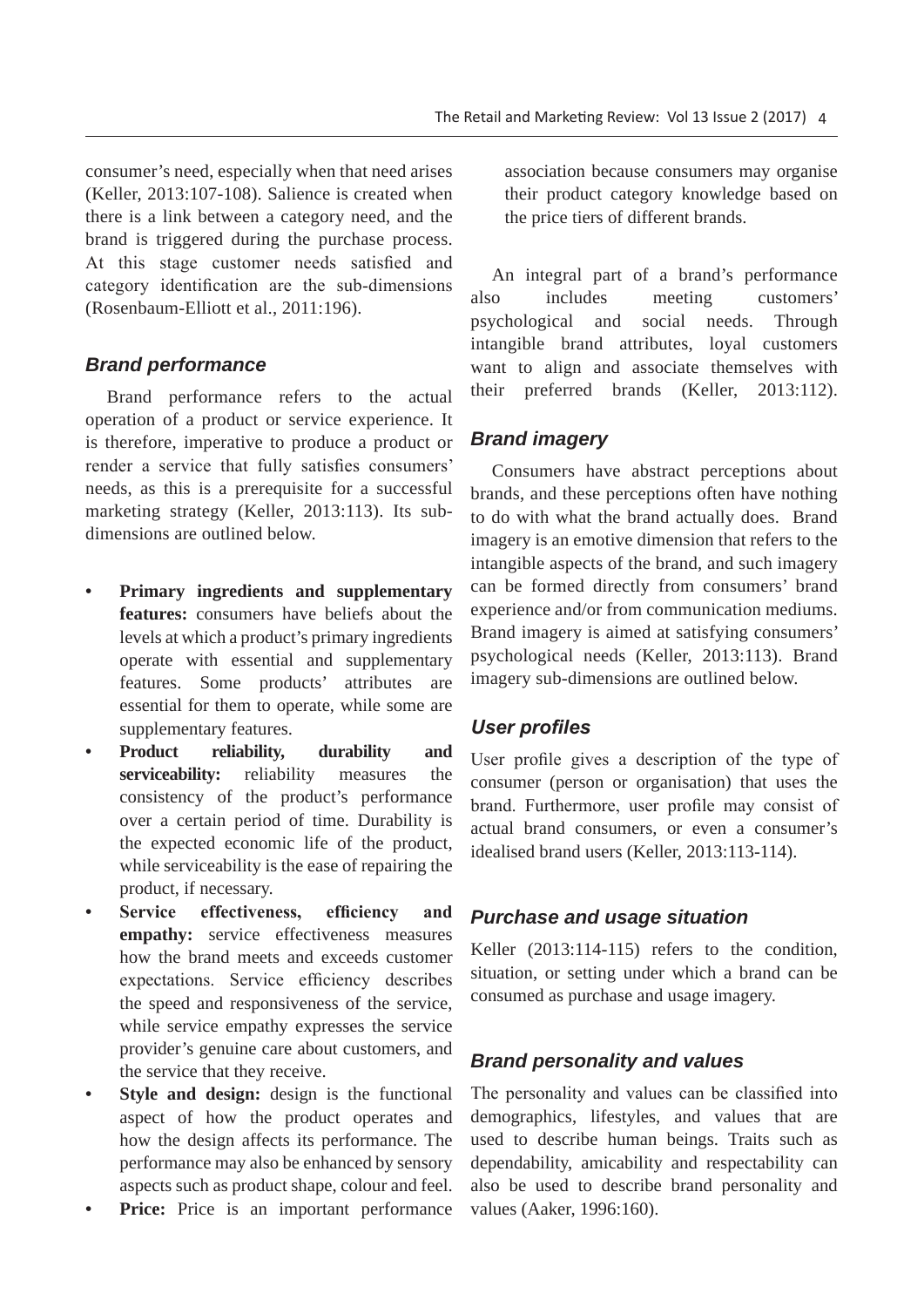consumer's need, especially when that need arises (Keller, 2013:107-108). Salience is created when there is a link between a category need, and the brand is triggered during the purchase process. At this stage customer needs satisfied and category identification are the sub-dimensions (Rosenbaum-Elliott et al., 2011:196).

## *Brand performance*

Brand performance refers to the actual operation of a product or service experience. It is therefore, imperative to produce a product or render a service that fully satisfies consumers' needs, as this is a prerequisite for a successful marketing strategy (Keller, 2013:113). Its subdimensions are outlined below.

- **Primary ingredients and supplementary features:** consumers have beliefs about the levels at which a product's primary ingredients operate with essential and supplementary features. Some products' attributes are essential for them to operate, while some are supplementary features.
- **Product reliability, durability and serviceability:** reliability measures the consistency of the product's performance over a certain period of time. Durability is the expected economic life of the product, while serviceability is the ease of repairing the product, if necessary.
- **Service effectiveness, efficiency and empathy:** service effectiveness measures how the brand meets and exceeds customer expectations. Service efficiency describes the speed and responsiveness of the service, while service empathy expresses the service provider's genuine care about customers, and the service that they receive.
- **Style and design:** design is the functional aspect of how the product operates and how the design affects its performance. The performance may also be enhanced by sensory aspects such as product shape, colour and feel.
- **Price:** Price is an important performance

association because consumers may organise their product category knowledge based on the price tiers of different brands.

An integral part of a brand's performance also includes meeting customers' psychological and social needs. Through intangible brand attributes, loyal customers want to align and associate themselves with their preferred brands (Keller, 2013:112).

## *Brand imagery*

Consumers have abstract perceptions about brands, and these perceptions often have nothing to do with what the brand actually does. Brand imagery is an emotive dimension that refers to the intangible aspects of the brand, and such imagery can be formed directly from consumers' brand experience and/or from communication mediums. Brand imagery is aimed at satisfying consumers' psychological needs (Keller, 2013:113). Brand imagery sub-dimensions are outlined below.

## User profiles

User profile gives a description of the type of consumer (person or organisation) that uses the brand. Furthermore, user profile may consist of actual brand consumers, or even a consumer's idealised brand users (Keller, 2013:113-114).

## *Purchase and usage situation*

Keller (2013:114-115) refers to the condition, situation, or setting under which a brand can be consumed as purchase and usage imagery.

## *Brand personality and values*

The personality and values can be classified into demographics, lifestyles, and values that are used to describe human beings. Traits such as dependability, amicability and respectability can also be used to describe brand personality and values (Aaker, 1996:160).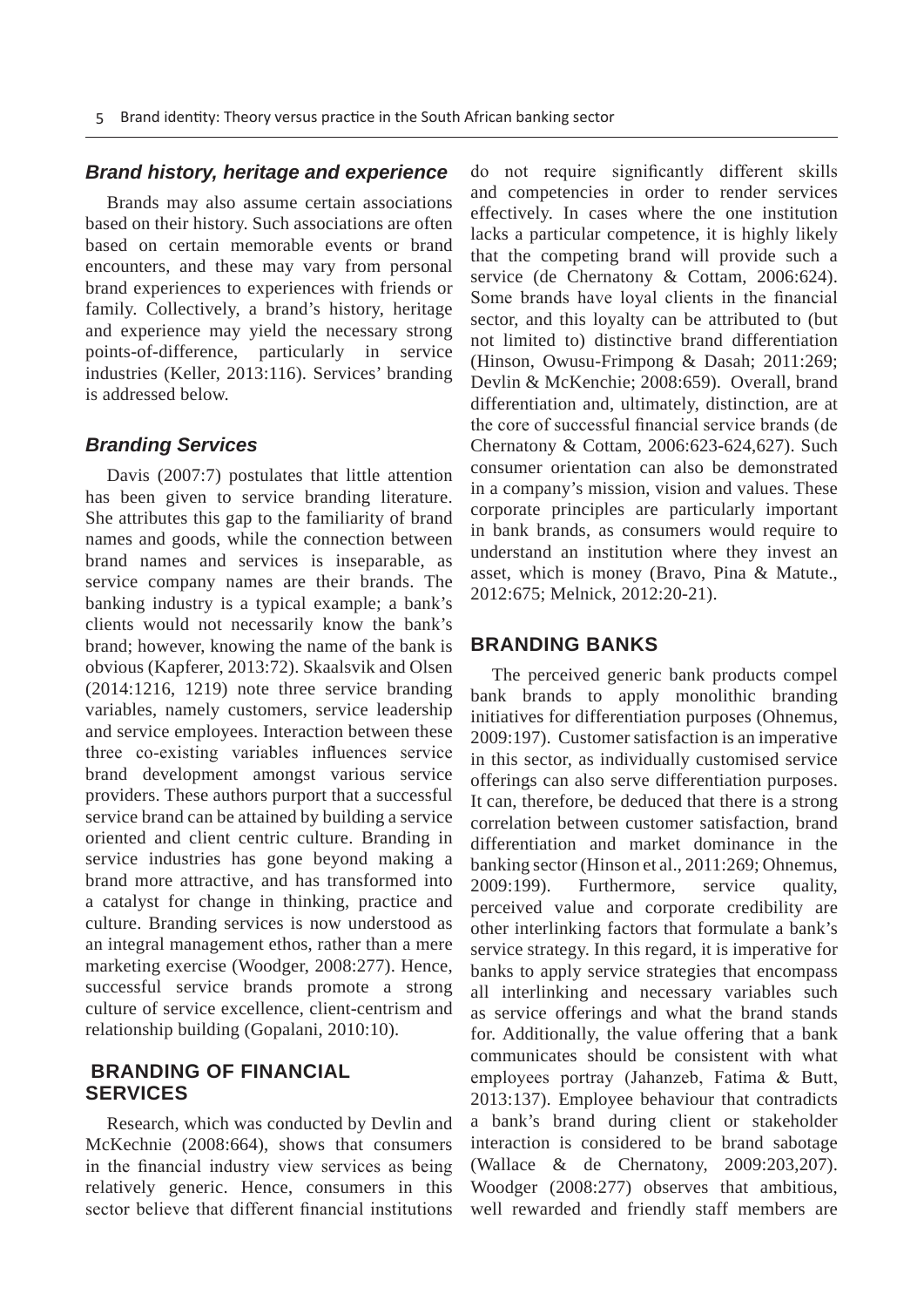#### *Brand history, heritage and experience*

Brands may also assume certain associations based on their history. Such associations are often based on certain memorable events or brand encounters, and these may vary from personal brand experiences to experiences with friends or family. Collectively, a brand's history, heritage and experience may yield the necessary strong points-of-difference, particularly in service industries (Keller, 2013:116). Services' branding is addressed below.

#### *Branding Services*

Davis (2007:7) postulates that little attention has been given to service branding literature. She attributes this gap to the familiarity of brand names and goods, while the connection between brand names and services is inseparable, as service company names are their brands. The banking industry is a typical example; a bank's clients would not necessarily know the bank's brand; however, knowing the name of the bank is obvious (Kapferer, 2013:72). Skaalsvik and Olsen (2014:1216, 1219) note three service branding variables, namely customers, service leadership and service employees. Interaction between these three co-existing variables influences service brand development amongst various service providers. These authors purport that a successful service brand can be attained by building a service oriented and client centric culture. Branding in service industries has gone beyond making a brand more attractive, and has transformed into a catalyst for change in thinking, practice and culture. Branding services is now understood as an integral management ethos, rather than a mere marketing exercise (Woodger, 2008:277). Hence, successful service brands promote a strong culture of service excellence, client-centrism and relationship building (Gopalani, 2010:10).

## **BRANDING OF FINANCIAL SERVICES**

Research, which was conducted by Devlin and McKechnie (2008:664), shows that consumers in the financial industry view services as being relatively generic. Hence, consumers in this sector believe that different financial institutions

do not require significantly different skills and competencies in order to render services effectively. In cases where the one institution lacks a particular competence, it is highly likely that the competing brand will provide such a service (de Chernatony & Cottam, 2006:624). Some brands have loyal clients in the financial sector, and this loyalty can be attributed to (but not limited to) distinctive brand differentiation (Hinson, Owusu-Frimpong & Dasah; 2011:269; Devlin & McKenchie; 2008:659). Overall, brand differentiation and, ultimately, distinction, are at the core of successful financial service brands (de Chernatony & Cottam, 2006:623-624,627). Such consumer orientation can also be demonstrated in a company's mission, vision and values. These corporate principles are particularly important in bank brands, as consumers would require to understand an institution where they invest an asset, which is money (Bravo, Pina & Matute., 2012:675; Melnick, 2012:20-21).

#### **BRANDING BANKS**

The perceived generic bank products compel bank brands to apply monolithic branding initiatives for differentiation purposes (Ohnemus, 2009:197). Customer satisfaction is an imperative in this sector, as individually customised service offerings can also serve differentiation purposes. It can, therefore, be deduced that there is a strong correlation between customer satisfaction, brand differentiation and market dominance in the banking sector (Hinson et al., 2011:269; Ohnemus, 2009:199). Furthermore, service quality, perceived value and corporate credibility are other interlinking factors that formulate a bank's service strategy. In this regard, it is imperative for banks to apply service strategies that encompass all interlinking and necessary variables such as service offerings and what the brand stands for. Additionally, the value offering that a bank communicates should be consistent with what employees portray (Jahanzeb, Fatima  $\&$  Butt, 2013:137). Employee behaviour that contradicts a bank's brand during client or stakeholder interaction is considered to be brand sabotage (Wallace & de Chernatony, 2009:203,207). Woodger (2008:277) observes that ambitious, well rewarded and friendly staff members are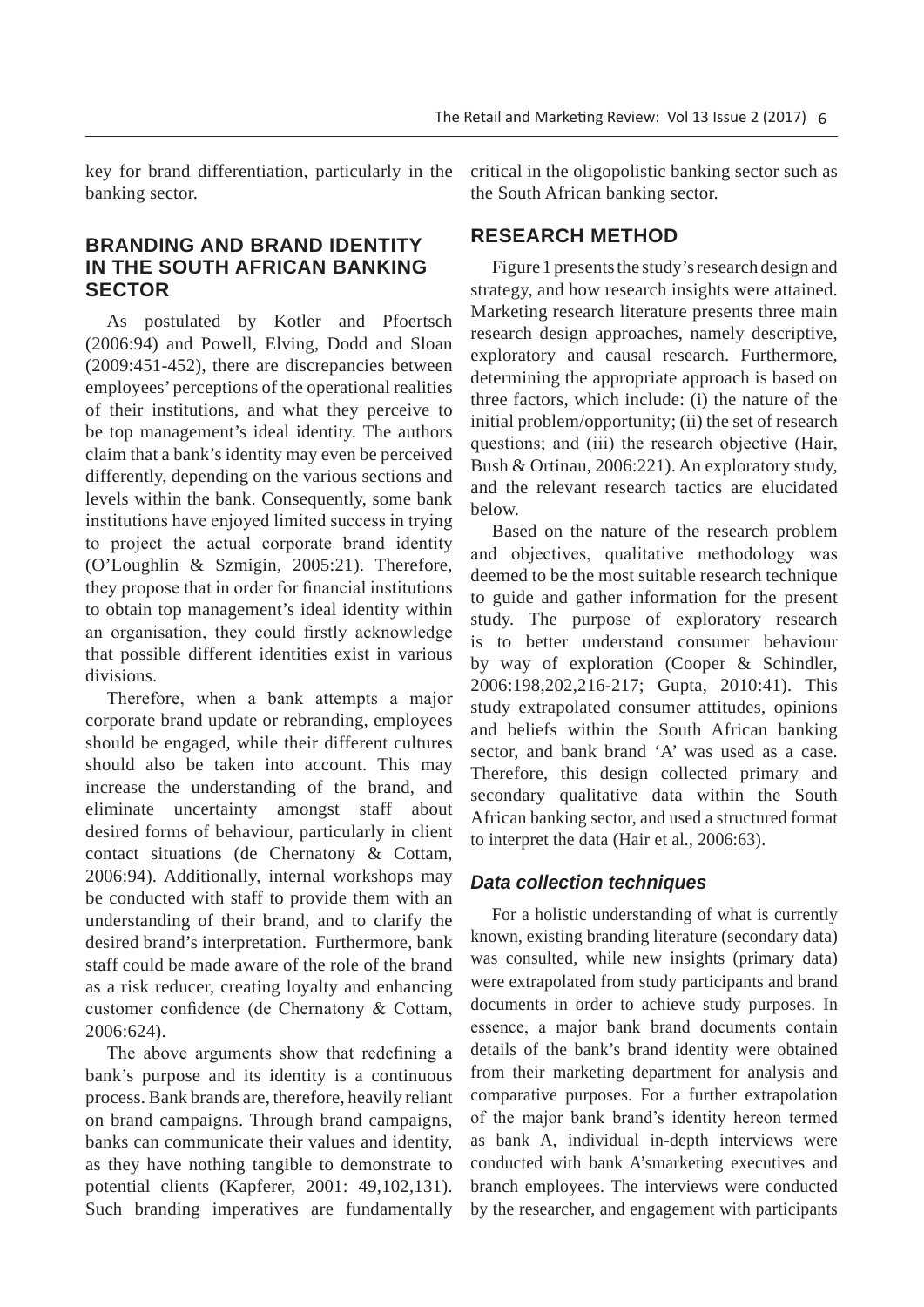key for brand differentiation, particularly in the banking sector.

## **BRANDING AND BRAND IDENTITY IN THE SOUTH AFRICAN BANKING SECTOR**

As postulated by Kotler and Pfoertsch (2006:94) and Powell, Elving, Dodd and Sloan (2009:451-452), there are discrepancies between employees' perceptions of the operational realities of their institutions, and what they perceive to be top management's ideal identity. The authors claim that a bank's identity may even be perceived differently, depending on the various sections and levels within the bank. Consequently, some bank institutions have enjoyed limited success in trying to project the actual corporate brand identity (O'Loughlin & Szmigin, 2005:21). Therefore, they propose that in order for financial institutions to obtain top management's ideal identity within an organisation, they could firstly acknowledge that possible different identities exist in various divisions.

Therefore, when a bank attempts a major corporate brand update or rebranding, employees should be engaged, while their different cultures should also be taken into account. This may increase the understanding of the brand, and eliminate uncertainty amongst staff about desired forms of behaviour, particularly in client contact situations (de Chernatony & Cottam, 2006:94). Additionally, internal workshops may be conducted with staff to provide them with an understanding of their brand, and to clarify the desired brand's interpretation. Furthermore, bank staff could be made aware of the role of the brand as a risk reducer, creating loyalty and enhancing customer confidence (de Chernatony & Cottam, 2006:624).

The above arguments show that redefining a bank's purpose and its identity is a continuous process. Bank brands are, therefore, heavily reliant on brand campaigns. Through brand campaigns, banks can communicate their values and identity, as they have nothing tangible to demonstrate to potential clients (Kapferer, 2001: 49,102,131). Such branding imperatives are fundamentally critical in the oligopolistic banking sector such as the South African banking sector.

# **RESEARCH METHOD**

Figure 1 presents the study's research design and strategy, and how research insights were attained. Marketing research literature presents three main research design approaches, namely descriptive, exploratory and causal research. Furthermore, determining the appropriate approach is based on three factors, which include: (i) the nature of the initial problem/opportunity; (ii) the set of research questions; and (iii) the research objective (Hair, Bush & Ortinau, 2006:221). An exploratory study, and the relevant research tactics are elucidated below.

Based on the nature of the research problem and objectives, qualitative methodology was deemed to be the most suitable research technique to guide and gather information for the present study. The purpose of exploratory research is to better understand consumer behaviour by way of exploration (Cooper & Schindler, 2006:198,202,216-217; Gupta, 2010:41). This study extrapolated consumer attitudes, opinions and beliefs within the South African banking sector, and bank brand 'A' was used as a case. Therefore, this design collected primary and secondary qualitative data within the South African banking sector, and used a structured format to interpret the data (Hair et al., 2006:63).

## *Data collection techniques*

For a holistic understanding of what is currently known, existing branding literature (secondary data) was consulted, while new insights (primary data) were extrapolated from study participants and brand documents in order to achieve study purposes. In essence, a major bank brand documents contain details of the bank's brand identity were obtained from their marketing department for analysis and comparative purposes. For a further extrapolation of the major bank brand's identity hereon termed as bank A, individual in-depth interviews were conducted with bank A'smarketing executives and branch employees. The interviews were conducted by the researcher, and engagement with participants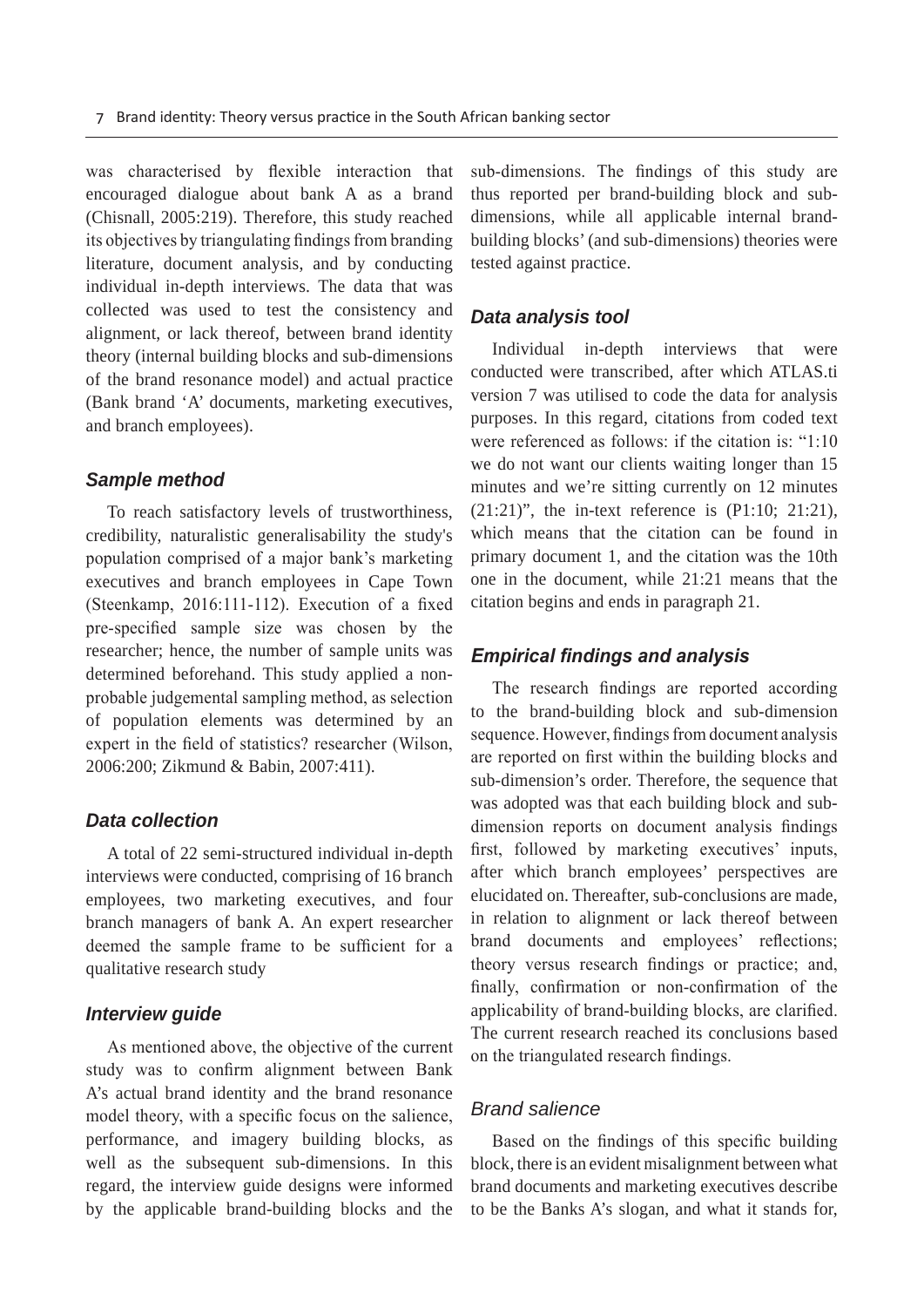was characterised by flexible interaction that encouraged dialogue about bank A as a brand (Chisnall, 2005:219). Therefore, this study reached its objectives by triangulating findings from branding literature, document analysis, and by conducting individual in-depth interviews. The data that was collected was used to test the consistency and alignment, or lack thereof, between brand identity theory (internal building blocks and sub-dimensions of the brand resonance model) and actual practice (Bank brand 'A' documents, marketing executives, and branch employees).

#### *Sample method*

To reach satisfactory levels of trustworthiness, credibility, naturalistic generalisability the study's population comprised of a major bank's marketing executives and branch employees in Cape Town (Steenkamp, 2016:111-112). Execution of a fixed pre-specified sample size was chosen by the researcher; hence, the number of sample units was determined beforehand. This study applied a nonprobable judgemental sampling method, as selection of population elements was determined by an expert in the field of statistics? researcher (Wilson, 2006:200; Zikmund & Babin, 2007:411).

#### *Data collection*

A total of 22 semi-structured individual in-depth interviews were conducted, comprising of 16 branch employees, two marketing executives, and four branch managers of bank A. An expert researcher deemed the sample frame to be sufficient for a qualitative research study

#### *Interview guide*

As mentioned above, the objective of the current study was to confirm alignment between Bank A's actual brand identity and the brand resonance model theory, with a specific focus on the salience, performance, and imagery building blocks, as well as the subsequent sub-dimensions. In this regard, the interview guide designs were informed by the applicable brand-building blocks and the

sub-dimensions. The findings of this study are thus reported per brand-building block and subdimensions, while all applicable internal brandbuilding blocks' (and sub-dimensions) theories were tested against practice.

#### *Data analysis tool*

Individual in-depth interviews that were conducted were transcribed, after which ATLAS.ti version 7 was utilised to code the data for analysis purposes. In this regard, citations from coded text were referenced as follows: if the citation is: " $1:10$ we do not want our clients waiting longer than 15 minutes and we're sitting currently on 12 minutes  $(21:21)$ ", the in-text reference is  $(P1:10; 21:21)$ , which means that the citation can be found in primary document 1, and the citation was the 10th one in the document, while 21:21 means that the citation begins and ends in paragraph 21.

#### *Empirical findings and analysis*

The research findings are reported according to the brand-building block and sub-dimension sequence. However, findings from document analysis are reported on first within the building blocks and sub-dimension's order. Therefore, the sequence that was adopted was that each building block and subdimension reports on document analysis findings first, followed by marketing executives' inputs, after which branch employees' perspectives are elucidated on. Thereafter, sub-conclusions are made, in relation to alignment or lack thereof between brand documents and employees' reflections; theory versus research findings or practice; and, finally, confirmation or non-confirmation of the applicability of brand-building blocks, are clarified. The current research reached its conclusions based on the triangulated research findings.

#### *Brand salience*

Based on the findings of this specific building block, there is an evident misalignment between what brand documents and marketing executives describe to be the Banks A's slogan, and what it stands for,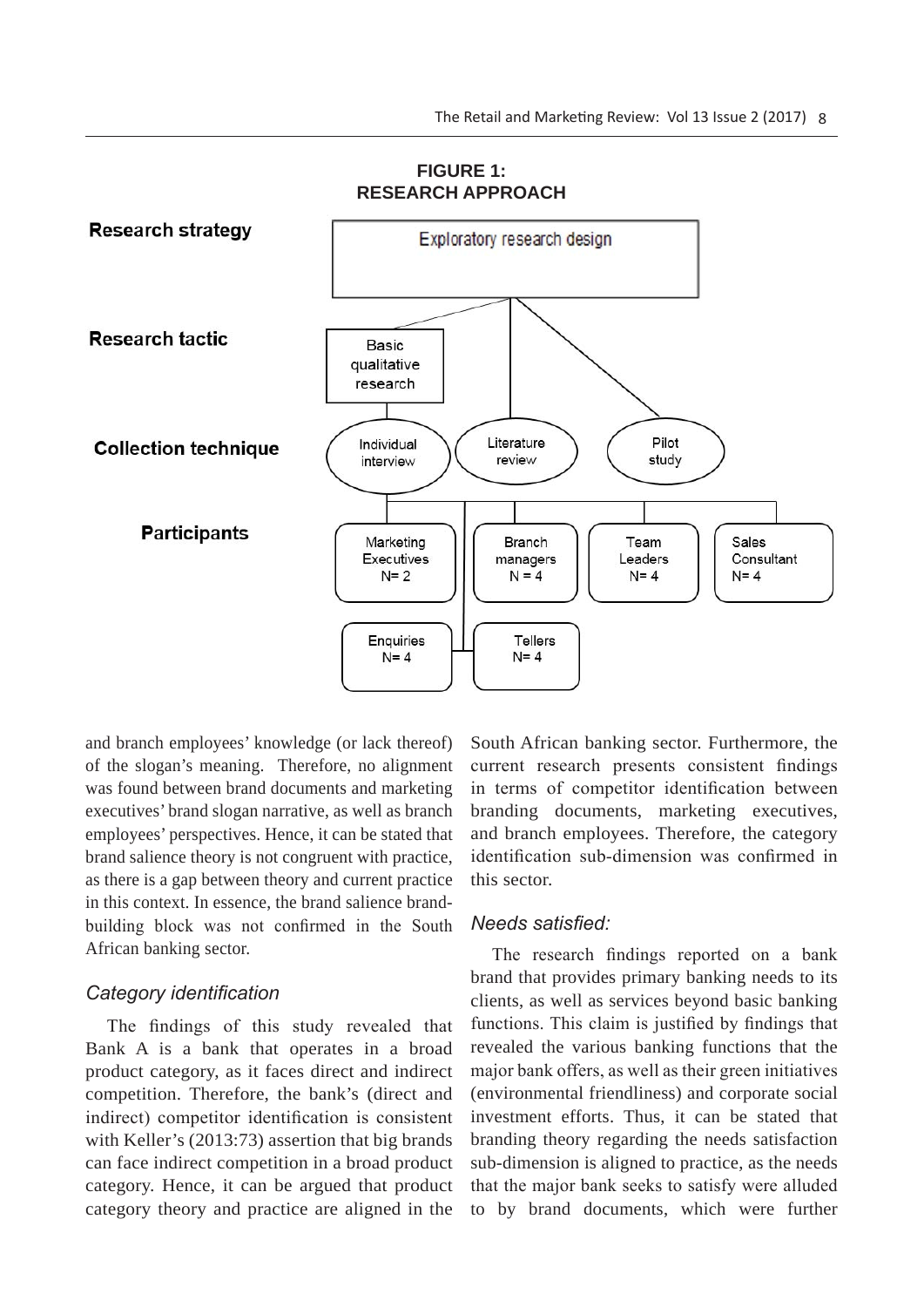

#### **FIGURE 1: RESEARCH APPROACH**

and branch employees' knowledge (or lack thereof) of the slogan's meaning. Therefore, no alignment was found between brand documents and marketing executives' brand slogan narrative, as well as branch employees' perspectives. Hence, it can be stated that brand salience theory is not congruent with practice, as there is a gap between theory and current practice in this context. In essence, the brand salience brandbuilding block was not confirmed in the South African banking sector.

## Category *identification*

The findings of this study revealed that Bank A is a bank that operates in a broad product category, as it faces direct and indirect competition. Therefore, the bank's (direct and indirect) competitor identification is consistent with Keller's (2013:73) assertion that big brands can face indirect competition in a broad product category. Hence, it can be argued that product category theory and practice are aligned in the

South African banking sector. Furthermore, the current research presents consistent findings in terms of competitor identification between branding documents, marketing executives, and branch employees. Therefore, the category identification sub-dimension was confirmed in this sector.

#### *Needs satisfied:*

The research findings reported on a bank brand that provides primary banking needs to its clients, as well as services beyond basic banking functions. This claim is justified by findings that revealed the various banking functions that the major bank offers, as well as their green initiatives (environmental friendliness) and corporate social investment efforts. Thus, it can be stated that branding theory regarding the needs satisfaction sub-dimension is aligned to practice, as the needs that the major bank seeks to satisfy were alluded to by brand documents, which were further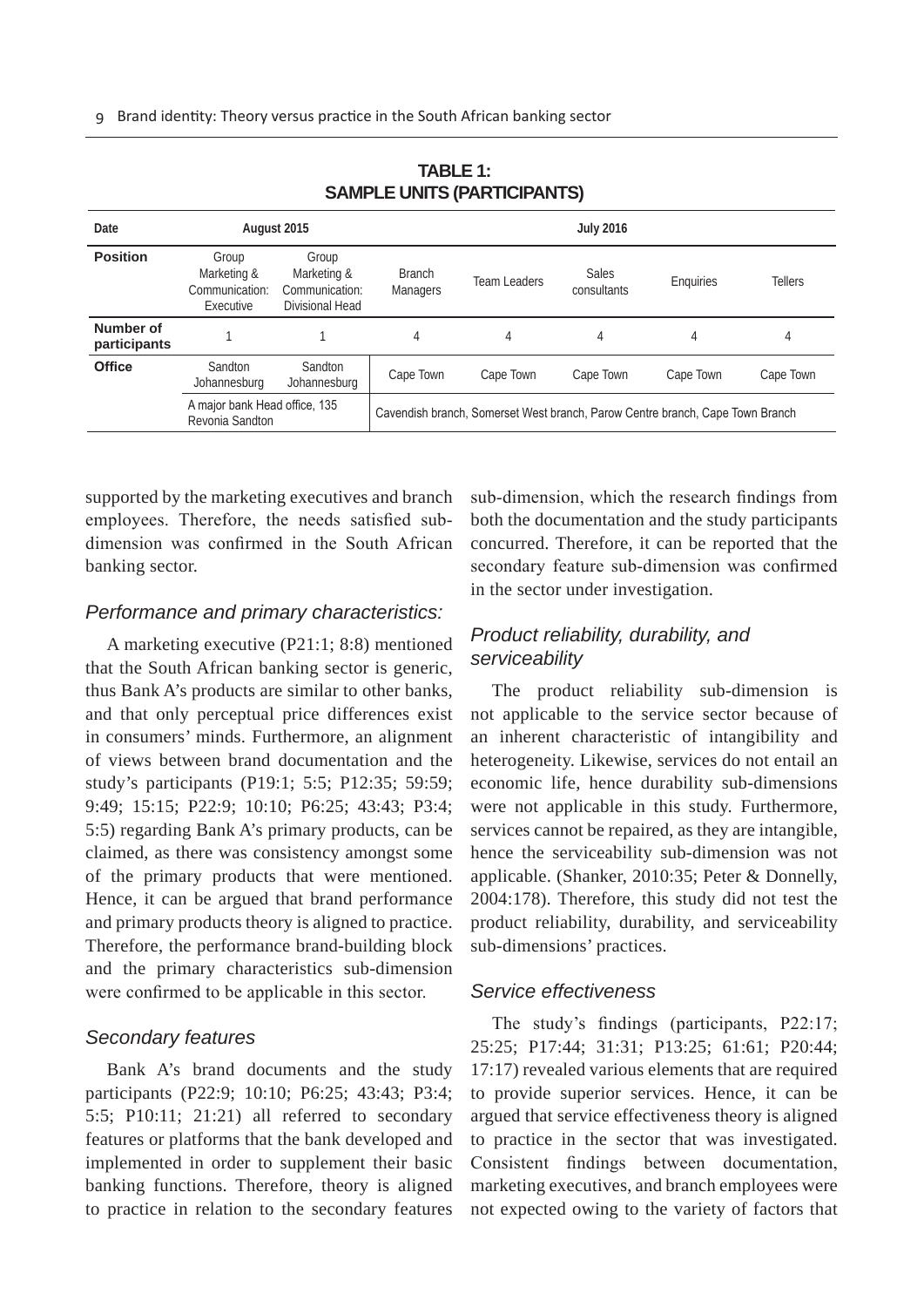| ____                      |                                                     |                                                           |                                                                               |              |                      |           |                |
|---------------------------|-----------------------------------------------------|-----------------------------------------------------------|-------------------------------------------------------------------------------|--------------|----------------------|-----------|----------------|
| Date                      |                                                     | August 2015                                               | <b>July 2016</b>                                                              |              |                      |           |                |
| <b>Position</b>           | Group<br>Marketing &<br>Communication:<br>Executive | Group<br>Marketing &<br>Communication:<br>Divisional Head | <b>Branch</b><br><b>Managers</b>                                              | Team Leaders | Sales<br>consultants | Enquiries | <b>Tellers</b> |
| Number of<br>participants |                                                     |                                                           | 4                                                                             | 4            | 4                    | 4         | 4              |
| <b>Office</b>             | <b>Sandton</b><br>Johannesburg                      | Sandton<br>Johannesburg                                   | Cape Town                                                                     | Cape Town    | Cape Town            | Cape Town | Cape Town      |
|                           | A major bank Head office, 135<br>Revonia Sandton    |                                                           | Cavendish branch, Somerset West branch, Parow Centre branch, Cape Town Branch |              |                      |           |                |

**TABLE 1: SAMPLE UNITS (PARTICIPANTS)**

supported by the marketing executives and branch employees. Therefore, the needs satisfied subdimension was confirmed in the South African banking sector.

#### *Performance and primary characteristics:*

A marketing executive (P21:1; 8:8) mentioned that the South African banking sector is generic, thus Bank A's products are similar to other banks, and that only perceptual price differences exist in consumers' minds. Furthermore, an alignment of views between brand documentation and the study's participants (P19:1; 5:5; P12:35; 59:59; 9:49; 15:15; P22:9; 10:10; P6:25; 43:43; P3:4; 5:5) regarding Bank A's primary products, can be claimed, as there was consistency amongst some of the primary products that were mentioned. Hence, it can be argued that brand performance and primary products theory is aligned to practice. Therefore, the performance brand-building block and the primary characteristics sub-dimension were confirmed to be applicable in this sector.

#### *Secondary features*

Bank A's brand documents and the study participants (P22:9; 10:10; P6:25; 43:43; P3:4; 5:5; P10:11; 21:21) all referred to secondary features or platforms that the bank developed and implemented in order to supplement their basic banking functions. Therefore, theory is aligned to practice in relation to the secondary features

sub-dimension, which the research findings from both the documentation and the study participants concurred. Therefore, it can be reported that the secondary feature sub-dimension was confirmed in the sector under investigation.

## *Product reliability, durability, and serviceability*

The product reliability sub-dimension is not applicable to the service sector because of an inherent characteristic of intangibility and heterogeneity. Likewise, services do not entail an economic life, hence durability sub-dimensions were not applicable in this study. Furthermore, services cannot be repaired, as they are intangible, hence the serviceability sub-dimension was not applicable. (Shanker, 2010:35; Peter & Donnelly, 2004:178). Therefore, this study did not test the product reliability, durability, and serviceability sub-dimensions' practices.

#### *Service effectiveness*

The study's findings (participants,  $P22:17$ ; 25:25; P17:44; 31:31; P13:25; 61:61; P20:44; 17:17) revealed various elements that are required to provide superior services. Hence, it can be argued that service effectiveness theory is aligned to practice in the sector that was investigated. Consistent findings between documentation, marketing executives, and branch employees were not expected owing to the variety of factors that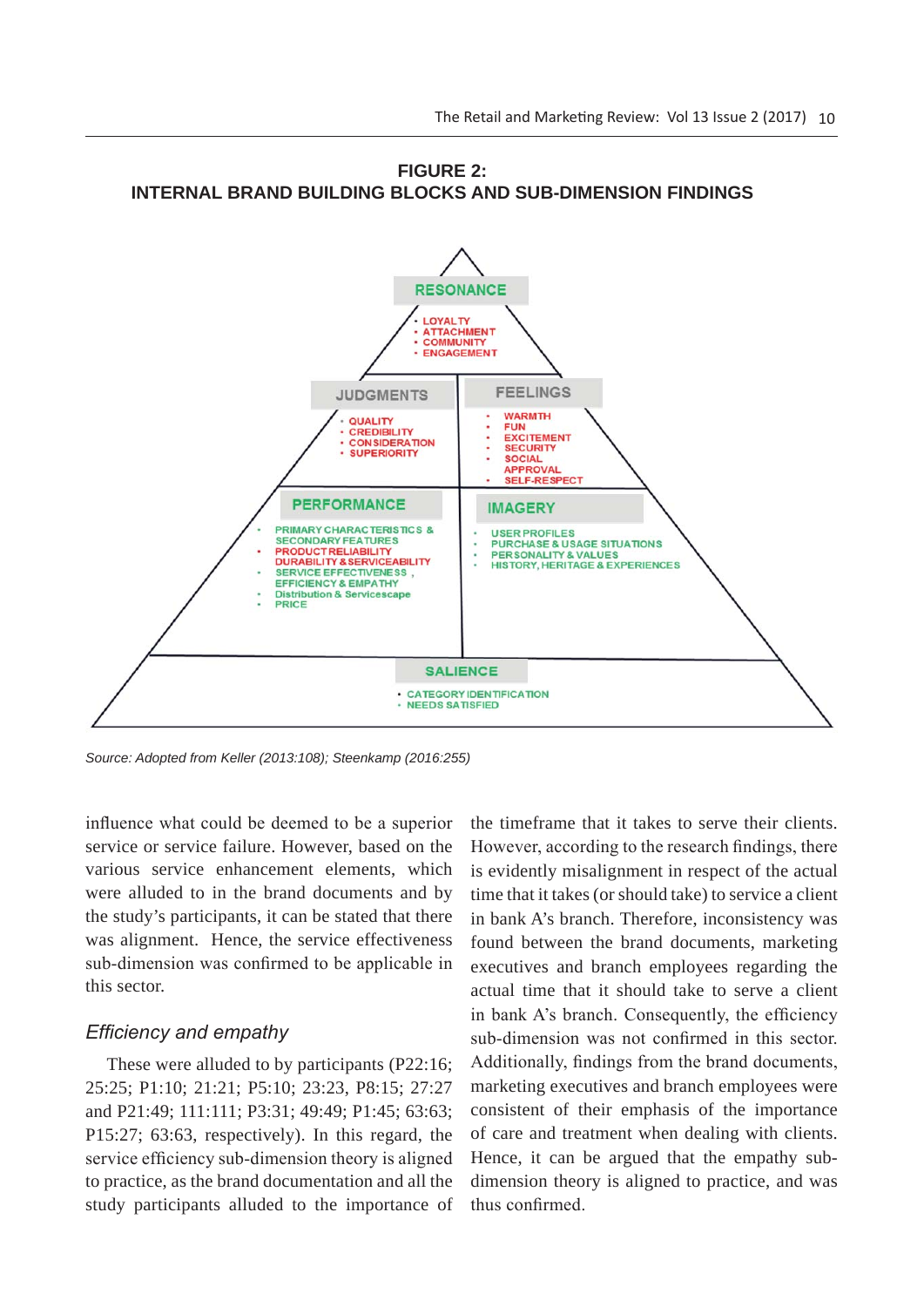

**FIGURE 2: INTERNAL BRAND BUILDING BLOCKS AND SUB-DIMENSION FINDINGS**

*Source: Adopted from Keller (2013:108); Steenkamp (2016:255)*

influence what could be deemed to be a superior service or service failure. However, based on the various service enhancement elements, which were alluded to in the brand documents and by the study's participants, it can be stated that there was alignment. Hence, the service effectiveness sub-dimension was confirmed to be applicable in this sector.

#### *Efficiency and empathy*

These were alluded to by participants (P22:16; 25:25; P1:10; 21:21; P5:10; 23:23, P8:15; 27:27 and P21:49; 111:111; P3:31; 49:49; P1:45; 63:63; P15:27; 63:63, respectively). In this regard, the service efficiency sub-dimension theory is aligned to practice, as the brand documentation and all the study participants alluded to the importance of

the timeframe that it takes to serve their clients. However, according to the research findings, there is evidently misalignment in respect of the actual time that it takes (or should take) to service a client in bank A's branch. Therefore, inconsistency was found between the brand documents, marketing executives and branch employees regarding the actual time that it should take to serve a client in bank A's branch. Consequently, the efficiency sub-dimension was not confirmed in this sector. Additionally, findings from the brand documents, marketing executives and branch employees were consistent of their emphasis of the importance of care and treatment when dealing with clients. Hence, it can be argued that the empathy subdimension theory is aligned to practice, and was thus confirmed.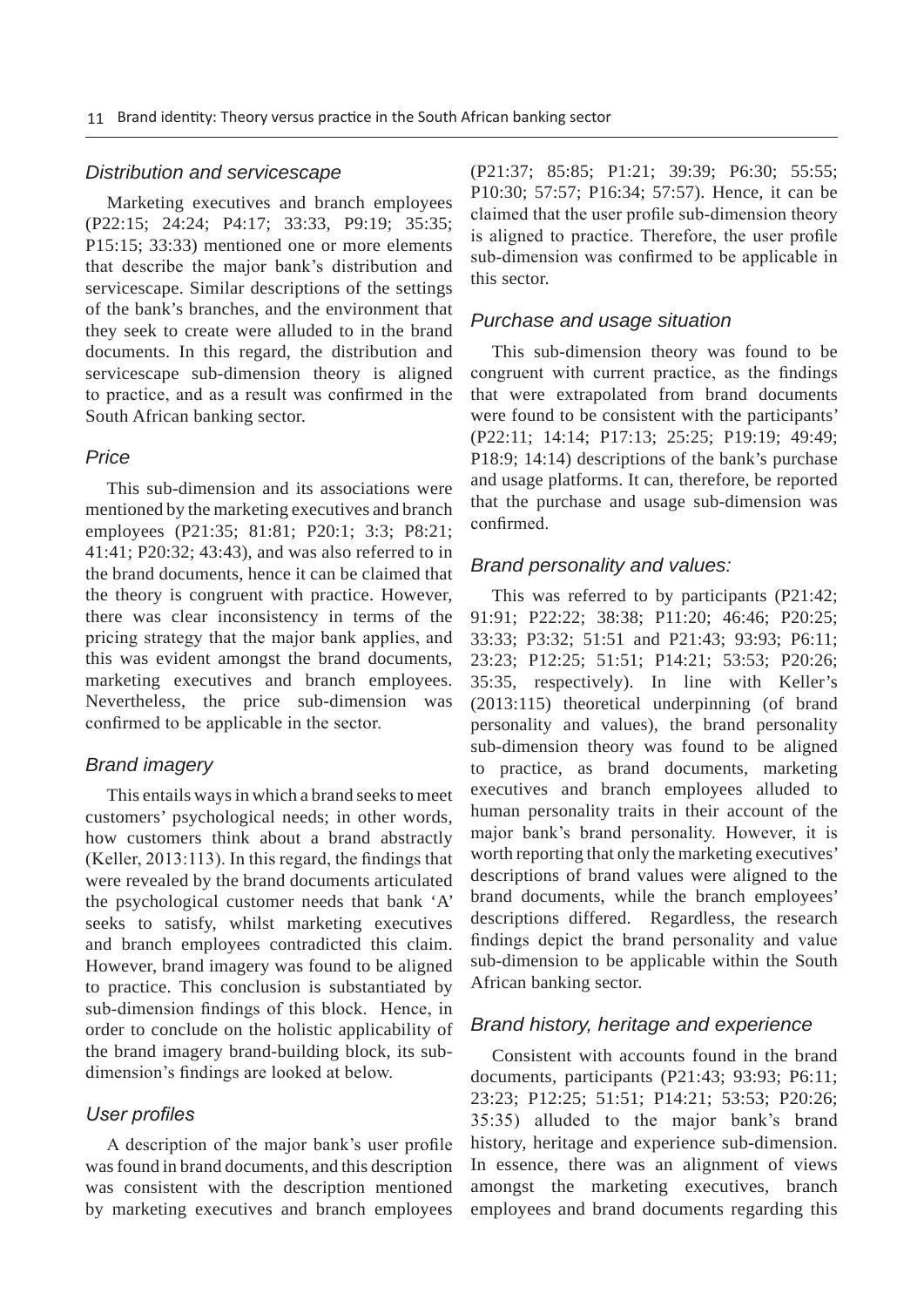#### *Distribution and servicescape*

Marketing executives and branch employees (P22:15; 24:24; P4:17; 33:33, P9:19; 35:35; P15:15; 33:33) mentioned one or more elements that describe the major bank's distribution and servicescape. Similar descriptions of the settings of the bank's branches, and the environment that they seek to create were alluded to in the brand documents. In this regard, the distribution and servicescape sub-dimension theory is aligned to practice, and as a result was confirmed in the South African banking sector.

#### *Price*

This sub-dimension and its associations were mentioned by the marketing executives and branch employees (P21:35; 81:81; P20:1; 3:3; P8:21; 41:41; P20:32; 43:43), and was also referred to in the brand documents, hence it can be claimed that the theory is congruent with practice. However, there was clear inconsistency in terms of the pricing strategy that the major bank applies, and this was evident amongst the brand documents, marketing executives and branch employees. Nevertheless, the price sub-dimension was confirmed to be applicable in the sector.

#### *Brand imagery*

This entails ways in which a brand seeks to meet customers' psychological needs; in other words, how customers think about a brand abstractly  $(Keller, 2013:113)$ . In this regard, the findings that were revealed by the brand documents articulated the psychological customer needs that bank 'A' seeks to satisfy, whilst marketing executives and branch employees contradicted this claim. However, brand imagery was found to be aligned to practice. This conclusion is substantiated by sub-dimension findings of this block. Hence, in order to conclude on the holistic applicability of the brand imagery brand-building block, its subdimension's findings are looked at below.

#### User *profiles*

A description of the major bank's user profile was found in brand documents, and this description was consistent with the description mentioned by marketing executives and branch employees (P21:37; 85:85; P1:21; 39:39; P6:30; 55:55; P10:30; 57:57; P16:34; 57:57). Hence, it can be claimed that the user profile sub-dimension theory is aligned to practice. Therefore, the user profile sub-dimension was confirmed to be applicable in this sector.

#### *Purchase and usage situation*

This sub-dimension theory was found to be congruent with current practice, as the findings that were extrapolated from brand documents were found to be consistent with the participants' (P22:11; 14:14; P17:13; 25:25; P19:19; 49:49; P18:9; 14:14) descriptions of the bank's purchase and usage platforms. It can, therefore, be reported that the purchase and usage sub-dimension was confirmed

#### *Brand personality and values:*

This was referred to by participants (P21:42; 91:91; P22:22; 38:38; P11:20; 46:46; P20:25; 33:33; P3:32; 51:51 and P21:43; 93:93; P6:11; 23:23; P12:25; 51:51; P14:21; 53:53; P20:26; 35:35, respectively). In line with Keller's (2013:115) theoretical underpinning (of brand personality and values), the brand personality sub-dimension theory was found to be aligned to practice, as brand documents, marketing executives and branch employees alluded to human personality traits in their account of the major bank's brand personality. However, it is worth reporting that only the marketing executives' descriptions of brand values were aligned to the brand documents, while the branch employees' descriptions differed. Regardless, the research findings depict the brand personality and value sub-dimension to be applicable within the South African banking sector.

#### *Brand history, heritage and experience*

Consistent with accounts found in the brand documents, participants (P21:43; 93:93; P6:11; 23:23; P12:25; 51:51; P14:21; 53:53; P20:26; 35:35) alluded to the major bank's brand history, heritage and experience sub-dimension. In essence, there was an alignment of views amongst the marketing executives, branch employees and brand documents regarding this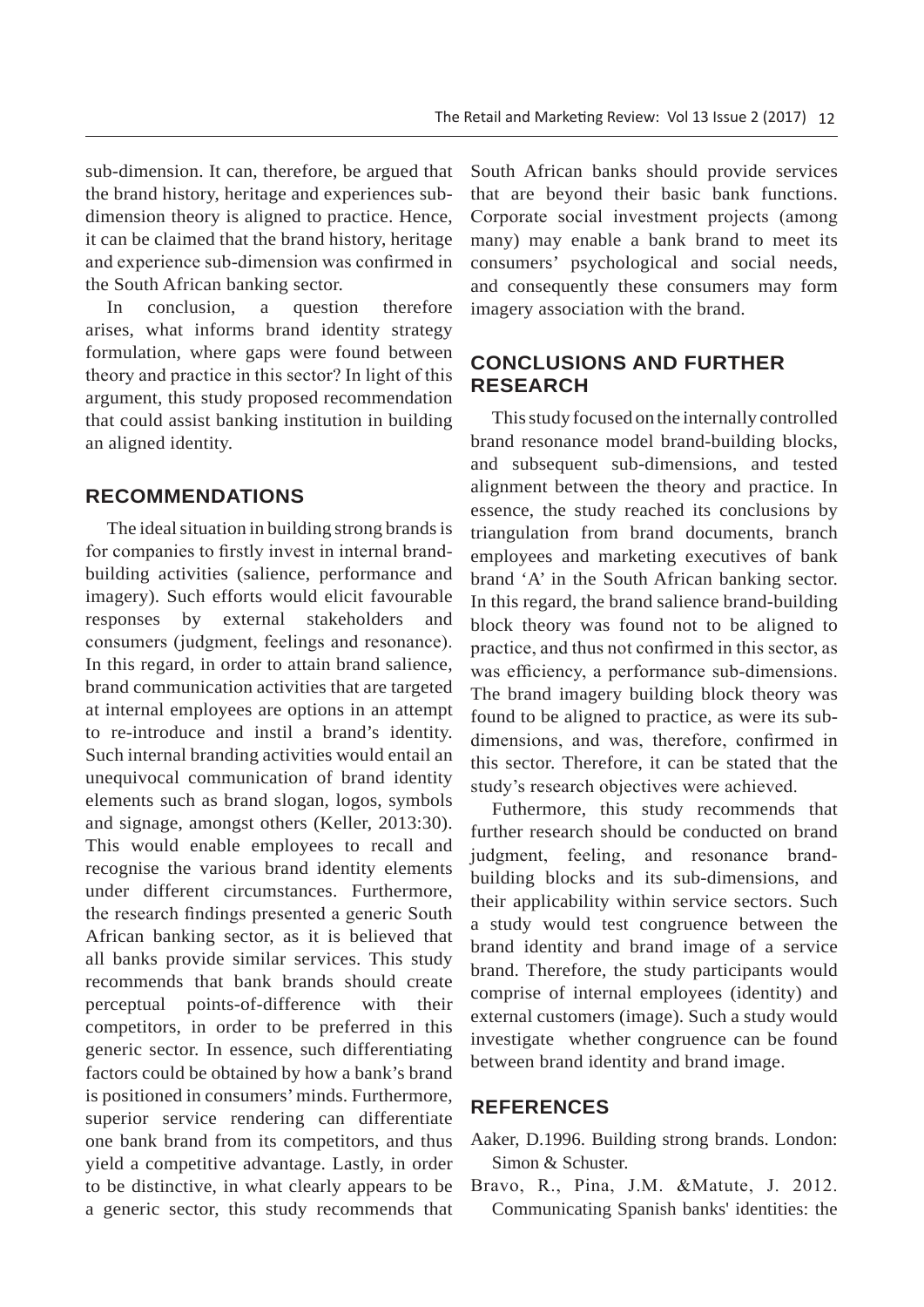sub-dimension. It can, therefore, be argued that the brand history, heritage and experiences subdimension theory is aligned to practice. Hence, it can be claimed that the brand history, heritage and experience sub-dimension was confirmed in the South African banking sector.

In conclusion, a question therefore arises, what informs brand identity strategy formulation, where gaps were found between theory and practice in this sector? In light of this argument, this study proposed recommendation that could assist banking institution in building an aligned identity.

## **RECOMMENDATIONS**

The ideal situation in building strong brands is for companies to firstly invest in internal brandbuilding activities (salience, performance and imagery). Such efforts would elicit favourable responses by external stakeholders and consumers (judgment, feelings and resonance). In this regard, in order to attain brand salience, brand communication activities that are targeted at internal employees are options in an attempt to re-introduce and instil a brand's identity. Such internal branding activities would entail an unequivocal communication of brand identity elements such as brand slogan, logos, symbols and signage, amongst others (Keller, 2013:30). This would enable employees to recall and recognise the various brand identity elements under different circumstances. Furthermore, the research findings presented a generic South African banking sector, as it is believed that all banks provide similar services. This study recommends that bank brands should create perceptual points-of-difference with their competitors, in order to be preferred in this generic sector. In essence, such differentiating factors could be obtained by how a bank's brand is positioned in consumers' minds. Furthermore, superior service rendering can differentiate one bank brand from its competitors, and thus yield a competitive advantage. Lastly, in order to be distinctive, in what clearly appears to be a generic sector, this study recommends that South African banks should provide services that are beyond their basic bank functions. Corporate social investment projects (among many) may enable a bank brand to meet its consumers' psychological and social needs, and consequently these consumers may form imagery association with the brand.

# **CONCLUSIONS AND FURTHER RESEARCH**

This study focused on the internally controlled brand resonance model brand-building blocks, and subsequent sub-dimensions, and tested alignment between the theory and practice. In essence, the study reached its conclusions by triangulation from brand documents, branch employees and marketing executives of bank brand 'A' in the South African banking sector. In this regard, the brand salience brand-building block theory was found not to be aligned to practice, and thus not confirmed in this sector, as was efficiency, a performance sub-dimensions. The brand imagery building block theory was found to be aligned to practice, as were its subdimensions, and was, therefore, confirmed in this sector. Therefore, it can be stated that the study's research objectives were achieved.

Futhermore, this study recommends that further research should be conducted on brand judgment, feeling, and resonance brandbuilding blocks and its sub-dimensions, and their applicability within service sectors. Such a study would test congruence between the brand identity and brand image of a service brand. Therefore, the study participants would comprise of internal employees (identity) and external customers (image). Such a study would investigate whether congruence can be found between brand identity and brand image.

#### **REFERENCES**

- Aaker, D.1996. Building strong brands. London: Simon & Schuster.
- Bravo, R., Pina, J.M. & Matute, J. 2012. Communicating Spanish banks' identities: the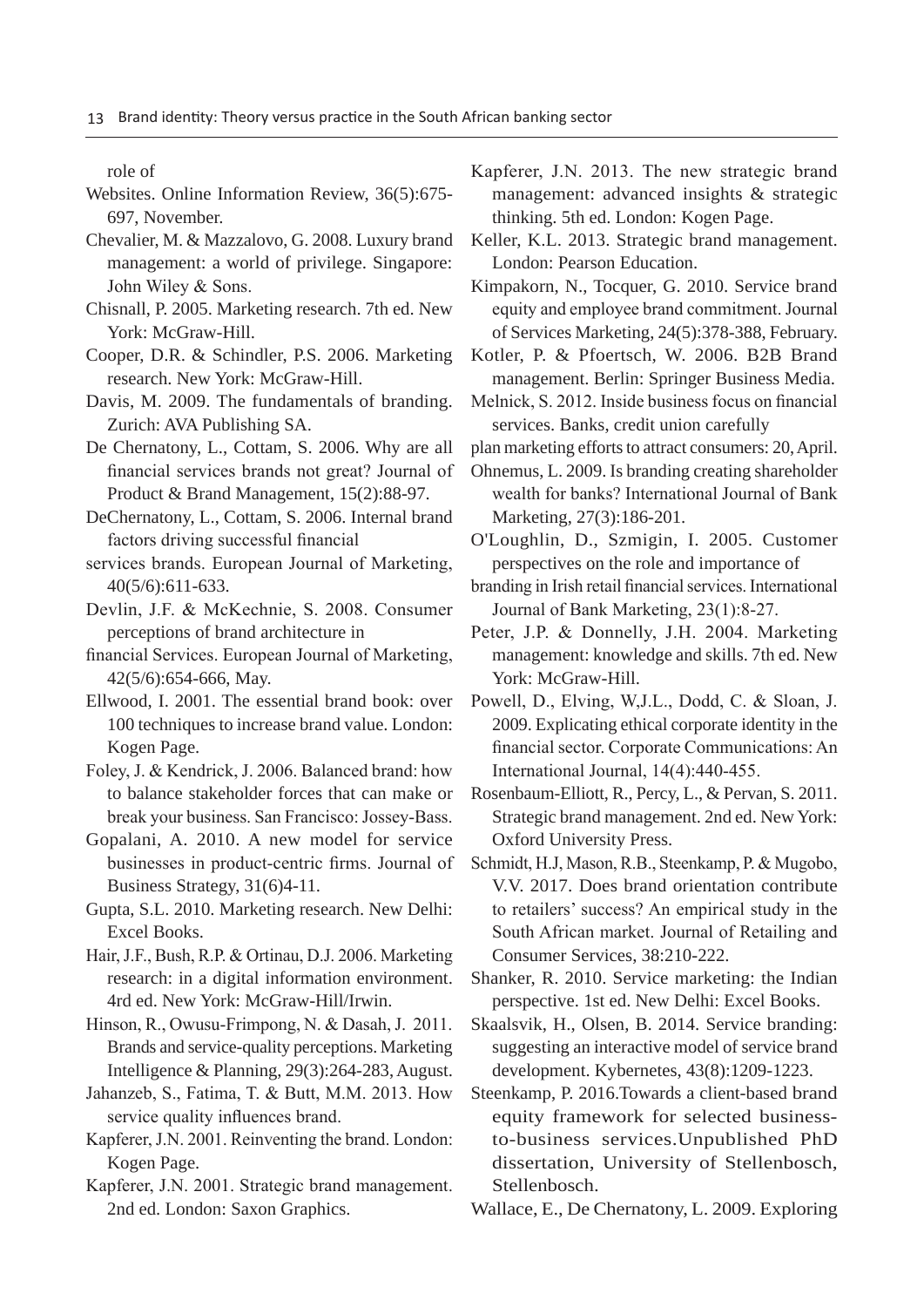role of

- Websites. Online Information Review, 36(5):675- 697, November.
- Chevalier, M. & Mazzalovo, G. 2008. Luxury brand management: a world of privilege. Singapore: John Wiley & Sons.
- Chisnall, P. 2005. Marketing research. 7th ed. New York: McGraw-Hill.
- Cooper, D.R. & Schindler, P.S. 2006. Marketing research. New York: McGraw-Hill.
- Davis, M. 2009. The fundamentals of branding. Zurich: AVA Publishing SA.
- De Chernatony, L., Cottam, S. 2006. Why are all financial services brands not great? Journal of Product & Brand Management, 15(2):88-97.
- DeChernatony, L., Cottam, S. 2006. Internal brand factors driving successful financial
- services brands. European Journal of Marketing, 40(5/6):611-633.
- Devlin, J.F. & McKechnie, S. 2008. Consumer perceptions of brand architecture in
- financial Services. European Journal of Marketing, 42(5/6):654-666, May.
- Ellwood, I. 2001. The essential brand book: over 100 techniques to increase brand value. London: Kogen Page.
- Foley, J. & Kendrick, J. 2006. Balanced brand: how to balance stakeholder forces that can make or break your business. San Francisco: Jossey-Bass.
- Gopalani, A. 2010. A new model for service businesses in product-centric firms. Journal of Business Strategy, 31(6)4-11.
- Gupta, S.L. 2010. Marketing research. New Delhi: Excel Books.
- Hair, J.F., Bush, R.P. & Ortinau, D.J. 2006. Marketing research: in a digital information environment. 4rd ed. New York: McGraw-Hill/Irwin.

Hinson, R., Owusu-Frimpong, N. & Dasah, J. 2011. Brands and service-quality perceptions. Marketing Intelligence & Planning, 29(3):264-283, August.

- Jahanzeb, S., Fatima, T. & Butt, M.M. 2013. How service quality influences brand.
- Kapferer, J.N. 2001. Reinventing the brand. London: Kogen Page.
- Kapferer, J.N. 2001. Strategic brand management. 2nd ed. London: Saxon Graphics.
- Kapferer, J.N. 2013. The new strategic brand management: advanced insights & strategic thinking. 5th ed. London: Kogen Page.
- Keller, K.L. 2013. Strategic brand management. London: Pearson Education.
- Kimpakorn, N., Tocquer, G. 2010. Service brand equity and employee brand commitment. Journal of Services Marketing, 24(5):378-388, February.
- Kotler, P. & Pfoertsch, W. 2006. B2B Brand management. Berlin: Springer Business Media.
- Melnick, S. 2012. Inside business focus on financial services. Banks, credit union carefully
- plan marketing efforts to attract consumers: 20, April.
- Ohnemus, L. 2009. Is branding creating shareholder wealth for banks? International Journal of Bank Marketing, 27(3):186-201.
- O'Loughlin, D., Szmigin, I. 2005. Customer perspectives on the role and importance of
- branding in Irish retail financial services. International Journal of Bank Marketing, 23(1):8-27.
- Peter, J.P. & Donnelly, J.H. 2004. Marketing management: knowledge and skills. 7th ed. New York: McGraw-Hill.
- Powell, D., Elving, W.J.L., Dodd, C. & Sloan, J. 2009. Explicating ethical corporate identity in the financial sector. Corporate Communications: An International Journal, 14(4):440-455.
- Rosenbaum-Elliott, R., Percy, L., & Pervan, S. 2011. Strategic brand management. 2nd ed. New York: Oxford University Press.
- Schmidt, H.J. Mason, R.B., Steenkamp, P. & Mugobo, V.V. 2017. Does brand orientation contribute to retailers' success? An empirical study in the South African market. Journal of Retailing and Consumer Services, 38:210-222.
- Shanker, R. 2010. Service marketing: the Indian perspective. 1st ed. New Delhi: Excel Books.
- Skaalsvik, H., Olsen, B. 2014. Service branding: suggesting an interactive model of service brand development. Kybernetes, 43(8):1209-1223.
- Steenkamp, P. 2016.Towards a client-based brand equity framework for selected businessto-business services.Unpublished PhD dissertation, University of Stellenbosch, Stellenbosch.
- Wallace, E., De Chernatony, L. 2009. Exploring